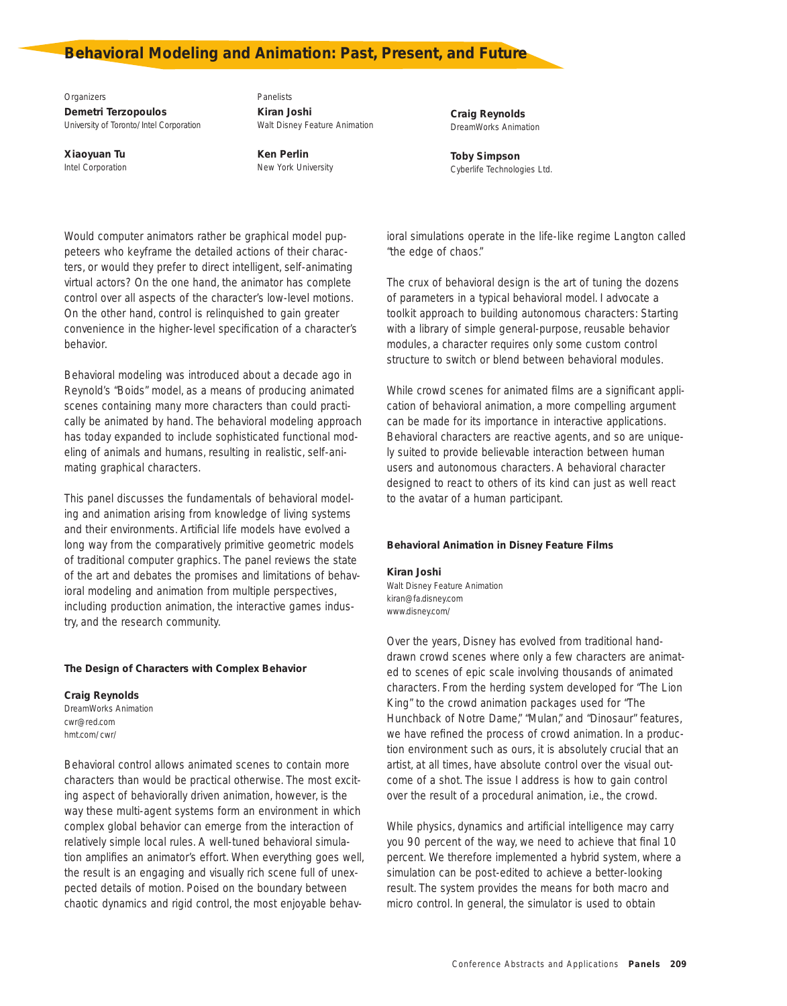*Organizers* **Demetri Terzopoulos** University of Toronto/Intel Corporation

**Xiaoyuan Tu** Intel Corporation

*Panelists* **Kiran Joshi** Walt Disney Feature Animation

**Ken Perlin** New York University **Craig Reynolds** DreamWorks Animation

**Toby Simpson** Cyberlife Technologies Ltd.

Would computer animators rather be graphical model puppeteers who keyframe the detailed actions of their characters, or would they prefer to direct intelligent, self-animating virtual actors? On the one hand, the animator has complete control over all aspects of the character's low-level motions. On the other hand, control is relinquished to gain greater convenience in the higher-level specification of a character's behavior.

Behavioral modeling was introduced about a decade ago in Reynold's "Boids" model, as a means of producing animated scenes containing many more characters than could practically be animated by hand. The behavioral modeling approach has today expanded to include sophisticated functional modeling of animals and humans, resulting in realistic, self-animating graphical characters.

This panel discusses the fundamentals of behavioral modeling and animation arising from knowledge of living systems and their environments. Artificial life models have evolved a long way from the comparatively primitive geometric models of traditional computer graphics. The panel reviews the state of the art and debates the promises and limitations of behavioral modeling and animation from multiple perspectives, including production animation, the interactive games industry, and the research community.

## **The Design of Characters with Complex Behavior**

# **Craig Reynolds**

DreamWorks Animation cwr@red.com hmt.com/cwr/

Behavioral control allows animated scenes to contain more characters than would be practical otherwise. The most exciting aspect of behaviorally driven animation, however, is the way these multi-agent systems form an environment in which complex global behavior can emerge from the interaction of relatively simple local rules. A well-tuned behavioral simulation amplifies an animator's effort. When everything goes well, the result is an engaging and visually rich scene full of unexpected details of motion. Poised on the boundary between chaotic dynamics and rigid control, the most enjoyable behavioral simulations operate in the life-like regime Langton called "the edge of chaos."

The crux of behavioral design is the art of tuning the dozens of parameters in a typical behavioral model. I advocate a toolkit approach to building autonomous characters: Starting with a library of simple general-purpose, reusable behavior modules, a character requires only some custom control structure to switch or blend between behavioral modules.

While crowd scenes for animated films are a significant application of behavioral animation, a more compelling argument can be made for its importance in interactive applications. Behavioral characters are reactive agents, and so are uniquely suited to provide believable interaction between human users and autonomous characters. A behavioral character designed to react to others of its kind can just as well react to the avatar of a human participant.

## **Behavioral Animation in Disney Feature Films**

#### **Kiran Joshi**

Walt Disney Feature Animation kiran@fa.disney.com www.disney.com/

Over the years, Disney has evolved from traditional handdrawn crowd scenes where only a few characters are animated to scenes of epic scale involving thousands of animated characters. From the herding system developed for "The Lion King" to the crowd animation packages used for "The Hunchback of Notre Dame," "Mulan," and "Dinosaur" features, we have refined the process of crowd animation. In a production environment such as ours, it is absolutely crucial that an artist, at all times, have absolute control over the visual outcome of a shot. The issue I address is how to gain control over the result of a procedural animation, i.e., the crowd.

While physics, dynamics and artificial intelligence may carry you 90 percent of the way, we need to achieve that final 10 percent. We therefore implemented a hybrid system, where a simulation can be post-edited to achieve a better-looking result. The system provides the means for both macro and micro control. In general, the simulator is used to obtain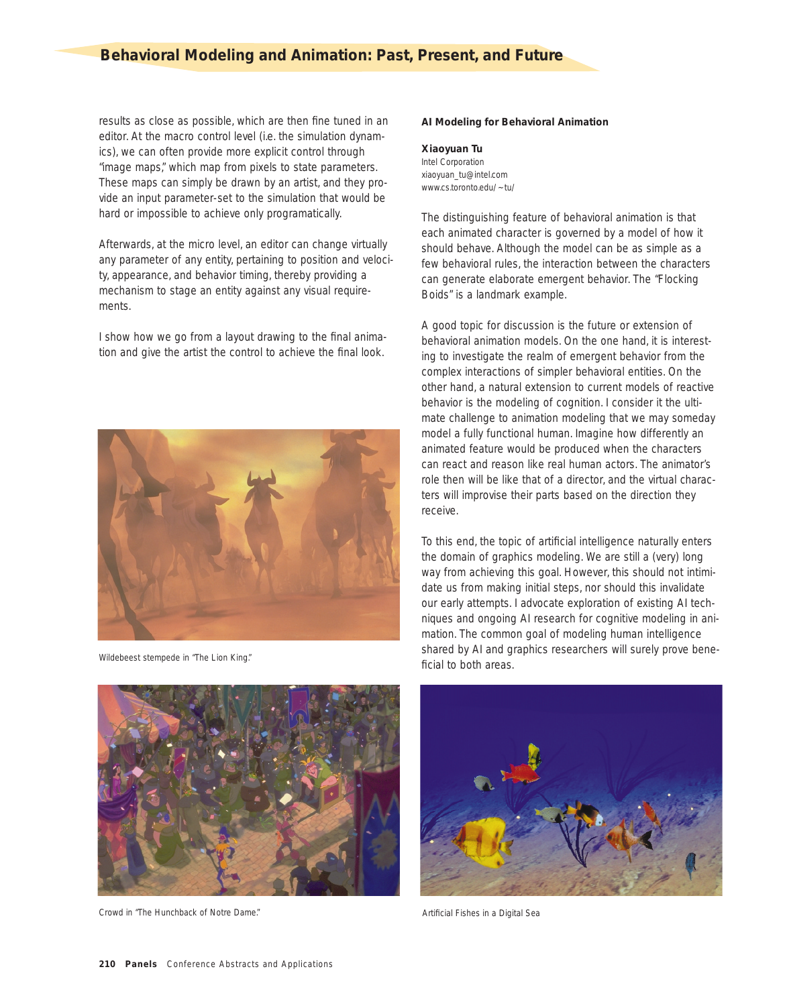# **Behavioral Modeling and Animation: Past, Present, and Future**

results as close as possible, which are then fine tuned in an editor. At the macro control level (i.e. the simulation dynamics), we can often provide more explicit control through "image maps," which map from pixels to state parameters. These maps can simply be drawn by an artist, and they provide an input parameter-set to the simulation that would be hard or impossible to achieve only programatically.

Afterwards, at the micro level, an editor can change virtually any parameter of any entity, pertaining to position and velocity, appearance, and behavior timing, thereby providing a mechanism to stage an entity against any visual requirements.

I show how we go from a layout drawing to the final animation and give the artist the control to achieve the final look.



Wildebeest stempede in "The Lion King."

## **AI Modeling for Behavioral Animation**

#### **Xiaoyuan Tu**

Intel Corporation xiaoyuan\_tu@intel.com www.cs.toronto.edu/~tu/

The distinguishing feature of behavioral animation is that each animated character is governed by a model of how it should behave. Although the model can be as simple as a few behavioral rules, the interaction between the characters can generate elaborate emergent behavior. The "Flocking Boids" is a landmark example.

A good topic for discussion is the future or extension of behavioral animation models. On the one hand, it is interesting to investigate the realm of emergent behavior from the complex interactions of simpler behavioral entities. On the other hand, a natural extension to current models of reactive behavior is the modeling of cognition. I consider it the ultimate challenge to animation modeling that we may someday model a fully functional human. Imagine how differently an animated feature would be produced when the characters can react and reason like real human actors. The animator's role then will be like that of a director, and the virtual characters will improvise their parts based on the direction they receive.

To this end, the topic of artificial intelligence naturally enters the domain of graphics modeling. We are still a (very) long way from achieving this goal. However, this should not intimidate us from making initial steps, nor should this invalidate our early attempts. I advocate exploration of existing AI techniques and ongoing AI research for cognitive modeling in animation. The common goal of modeling human intelligence shared by AI and graphics researchers will surely prove beneficial to both areas.



Crowd in "The Hunchback of Notre Dame." Artificial Fishes in a Digital Sea